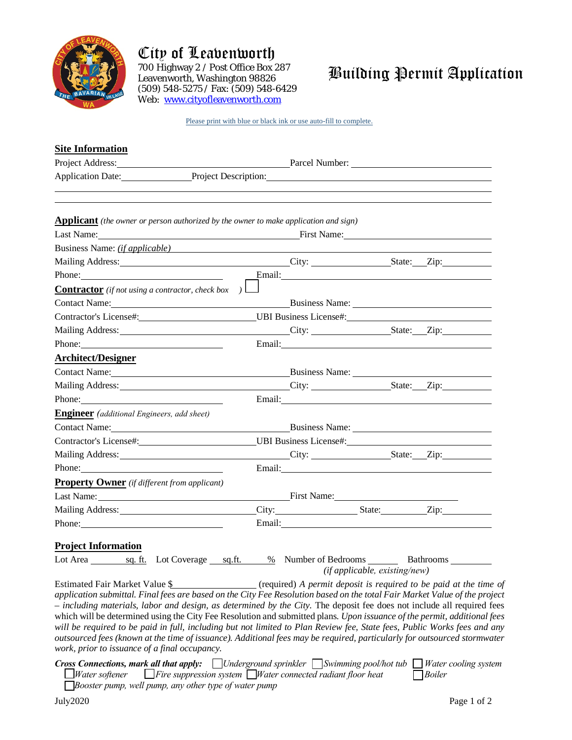

## City of Leavenworth

700 Highway 2 / Post Office Box 287 Leavenworth, Washington 98826 (509) 548-5275 / Fax: (509) 548-6429 Web: [www.cityofleavenworth.com](http://www.cityofleavenworth.com/)

## Building Permit Application

Please print with blue or black ink or use auto-fill to complete.

| <b>Site Information</b>                                                                                                                                                                                                                                                                |        |                                    |                               |                                                                                                                                                                                                                                |
|----------------------------------------------------------------------------------------------------------------------------------------------------------------------------------------------------------------------------------------------------------------------------------------|--------|------------------------------------|-------------------------------|--------------------------------------------------------------------------------------------------------------------------------------------------------------------------------------------------------------------------------|
|                                                                                                                                                                                                                                                                                        |        |                                    |                               |                                                                                                                                                                                                                                |
| Application Date: Project Description: Project Description:                                                                                                                                                                                                                            |        |                                    |                               |                                                                                                                                                                                                                                |
|                                                                                                                                                                                                                                                                                        |        |                                    |                               |                                                                                                                                                                                                                                |
| <b>Applicant</b> (the owner or person authorized by the owner to make application and sign)                                                                                                                                                                                            |        |                                    |                               |                                                                                                                                                                                                                                |
| Last Name: First Name: First Name: First Name:                                                                                                                                                                                                                                         |        |                                    |                               |                                                                                                                                                                                                                                |
| Business Name: <i>(if applicable)</i>                                                                                                                                                                                                                                                  |        |                                    |                               |                                                                                                                                                                                                                                |
| Mailing Address: City: City: State: Zip:                                                                                                                                                                                                                                               |        |                                    |                               |                                                                                                                                                                                                                                |
| Phone:                                                                                                                                                                                                                                                                                 |        |                                    |                               | Email: Email: Email: Email: Email: Email: Email: Email: Email: Email: Email: Email: Email: Email: Email: Email: Email: Email: Email: Email: Email: Email: Email: Email: Email: Email: Email: Email: Email: Email: Email: Email |
| <b>Contractor</b> (if not using a contractor, check box )                                                                                                                                                                                                                              |        |                                    |                               |                                                                                                                                                                                                                                |
| Contact Name: Business Name: Business Name: 2008.                                                                                                                                                                                                                                      |        |                                    |                               |                                                                                                                                                                                                                                |
| Contractor's License#: UBI Business License#: UBI Business License#:                                                                                                                                                                                                                   |        |                                    |                               |                                                                                                                                                                                                                                |
| Mailing Address: City: City: State: Zip:                                                                                                                                                                                                                                               |        |                                    |                               |                                                                                                                                                                                                                                |
| Phone:                                                                                                                                                                                                                                                                                 |        |                                    |                               |                                                                                                                                                                                                                                |
| <b>Architect/Designer</b>                                                                                                                                                                                                                                                              |        |                                    |                               |                                                                                                                                                                                                                                |
| Contact Name: Business Name: Business Name:                                                                                                                                                                                                                                            |        |                                    |                               |                                                                                                                                                                                                                                |
|                                                                                                                                                                                                                                                                                        |        |                                    |                               |                                                                                                                                                                                                                                |
| Phone:                                                                                                                                                                                                                                                                                 |        |                                    |                               |                                                                                                                                                                                                                                |
| Engineer (additional Engineers, add sheet)                                                                                                                                                                                                                                             |        |                                    |                               |                                                                                                                                                                                                                                |
| Contact Name: Business Name: Business Name: Contact Name:                                                                                                                                                                                                                              |        |                                    |                               |                                                                                                                                                                                                                                |
| Contractor's License#: UBI Business License#: UBI Business License#:                                                                                                                                                                                                                   |        |                                    |                               |                                                                                                                                                                                                                                |
|                                                                                                                                                                                                                                                                                        |        |                                    |                               |                                                                                                                                                                                                                                |
|                                                                                                                                                                                                                                                                                        |        |                                    |                               | Email: Note and the second contract of the second contract of the second contract of the second contract of the second contract of the second contract of the second contract of the second contract of the second contract of |
| <b>Property Owner</b> (if different from applicant)                                                                                                                                                                                                                                    |        |                                    |                               |                                                                                                                                                                                                                                |
|                                                                                                                                                                                                                                                                                        |        |                                    |                               |                                                                                                                                                                                                                                |
|                                                                                                                                                                                                                                                                                        |        |                                    |                               | City: State: Zip:                                                                                                                                                                                                              |
| Phone:                                                                                                                                                                                                                                                                                 |        |                                    |                               | Email: and the contract of the contract of the contract of the contract of the contract of the contract of the contract of the contract of the contract of the contract of the contract of the contract of the contract of the |
| <b>Project Information</b>                                                                                                                                                                                                                                                             |        |                                    |                               |                                                                                                                                                                                                                                |
| Lot Area sq. ft. Lot Coverage                                                                                                                                                                                                                                                          | sq.ft. | $\frac{\%}{\%}$ Number of Bedrooms |                               | Bathrooms                                                                                                                                                                                                                      |
|                                                                                                                                                                                                                                                                                        |        |                                    | (if applicable, existing/new) |                                                                                                                                                                                                                                |
| Estimated Fair Market Value \$<br>application submittal. Final fees are based on the City Fee Resolution based on the total Fair Market Value of the project<br>- including materials, labor and design, as determined by the City. The deposit fee does not include all required fees |        |                                    |                               | (required) A permit deposit is required to be paid at the time of                                                                                                                                                              |
| which will be determined using the City Fee Resolution and submitted plans. Upon issuance of the permit, additional fees                                                                                                                                                               |        |                                    |                               |                                                                                                                                                                                                                                |
| will be required to be paid in full, including but not limited to Plan Review fee, State fees, Public Works fees and any<br>outsourced fees (known at the time of issuance). Additional fees may be required, particularly for outsourced stormwater                                   |        |                                    |                               |                                                                                                                                                                                                                                |

*work, prior to issuance of a final occupancy.*

*Cross Connections, mark all that apply: Underground sprinkler Swimming pool/hot tub Water cooling system Water softener Fire suppression system Water connected radiant floor heat Boiler*

 *Booster pump, well pump, any other type of water pump*